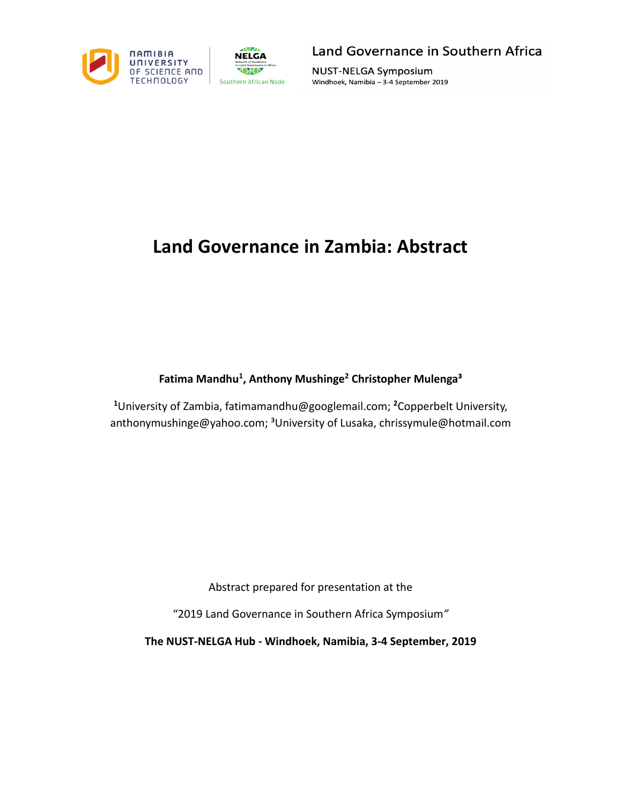



**NUST-NELGA Symposium** Windhoek, Namibia - 3-4 September 2019

# **Land Governance in Zambia: Abstract**

**Fatima Mandhu1 , Anthony Mushinge2 Christopher Mulenga³**

**1** University of Zambia, fatimamandhu@googlemail.com; **<sup>2</sup>** Copperbelt University, anthonymushinge@yahoo.com; <sup>3</sup>University of Lusaka, chrissymule@hotmail.com

Abstract prepared for presentation at the

"2019 Land Governance in Southern Africa Symposium*"*

**The NUST-NELGA Hub - Windhoek, Namibia, 3-4 September, 2019**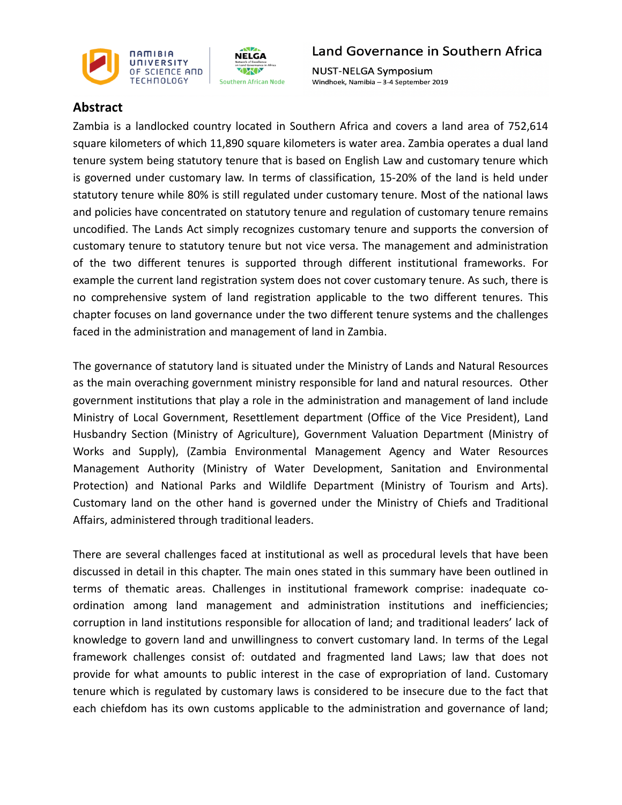



**NUST-NELGA Symposium** Windhoek, Namibia - 3-4 September 2019

### **Abstract**

Zambia is a landlocked country located in Southern Africa and covers a land area of 752,614 square kilometers of which 11,890 square kilometers is water area. Zambia operates a dual land tenure system being statutory tenure that is based on English Law and customary tenure which is governed under customary law. In terms of classification, 15-20% of the land is held under statutory tenure while 80% is still regulated under customary tenure. Most of the national laws and policies have concentrated on statutory tenure and regulation of customary tenure remains uncodified. The Lands Act simply recognizes customary tenure and supports the conversion of customary tenure to statutory tenure but not vice versa. The management and administration of the two different tenures is supported through different institutional frameworks. For example the current land registration system does not cover customary tenure. As such, there is no comprehensive system of land registration applicable to the two different tenures. This chapter focuses on land governance under the two different tenure systems and the challenges faced in the administration and management of land in Zambia.

The governance of statutory land is situated under the Ministry of Lands and Natural Resources as the main overaching government ministry responsible for land and natural resources. Other government institutions that play a role in the administration and management of land include Ministry of Local Government, Resettlement department (Office of the Vice President), Land Husbandry Section (Ministry of Agriculture), Government Valuation Department (Ministry of Works and Supply), (Zambia Environmental Management Agency and Water Resources Management Authority (Ministry of Water Development, Sanitation and Environmental Protection) and National Parks and Wildlife Department (Ministry of Tourism and Arts). Customary land on the other hand is governed under the Ministry of Chiefs and Traditional Affairs, administered through traditional leaders.

There are several challenges faced at institutional as well as procedural levels that have been discussed in detail in this chapter. The main ones stated in this summary have been outlined in terms of thematic areas. Challenges in institutional framework comprise: inadequate coordination among land management and administration institutions and inefficiencies; corruption in land institutions responsible for allocation of land; and traditional leaders' lack of knowledge to govern land and unwillingness to convert customary land. In terms of the Legal framework challenges consist of: outdated and fragmented land Laws; law that does not provide for what amounts to public interest in the case of expropriation of land. Customary tenure which is regulated by customary laws is considered to be insecure due to the fact that each chiefdom has its own customs applicable to the administration and governance of land;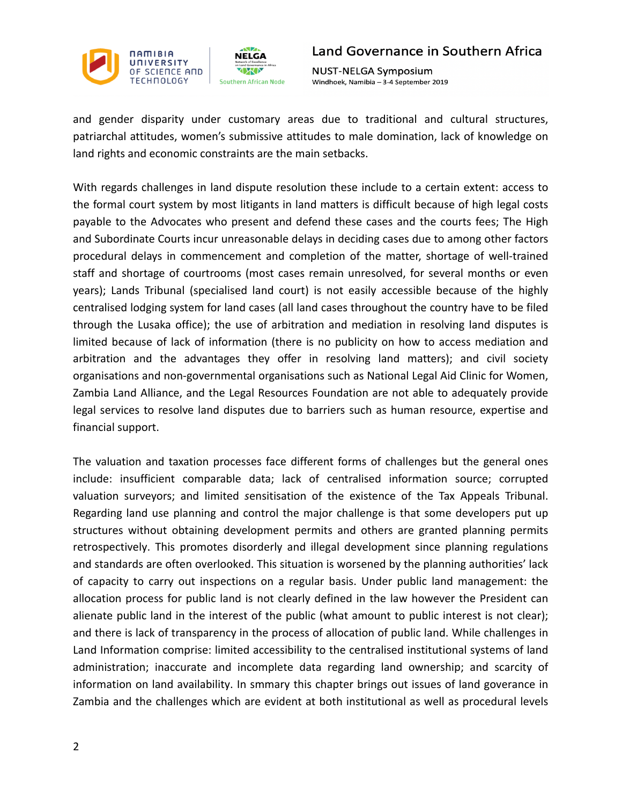

**NUST-NELGA Symposium** Windhoek, Namibia - 3-4 September 2019

and gender disparity under customary areas due to traditional and cultural structures, patriarchal attitudes, women's submissive attitudes to male domination, lack of knowledge on land rights and economic constraints are the main setbacks.

With regards challenges in land dispute resolution these include to a certain extent: access to the formal court system by most litigants in land matters is difficult because of high legal costs payable to the Advocates who present and defend these cases and the courts fees; The High and Subordinate Courts incur unreasonable delays in deciding cases due to among other factors procedural delays in commencement and completion of the matter, shortage of well-trained staff and shortage of courtrooms (most cases remain unresolved, for several months or even years); Lands Tribunal (specialised land court) is not easily accessible because of the highly centralised lodging system for land cases (all land cases throughout the country have to be filed through the Lusaka office); the use of arbitration and mediation in resolving land disputes is limited because of lack of information (there is no publicity on how to access mediation and arbitration and the advantages they offer in resolving land matters); and civil society organisations and non-governmental organisations such as National Legal Aid Clinic for Women, Zambia Land Alliance, and the Legal Resources Foundation are not able to adequately provide legal services to resolve land disputes due to barriers such as human resource, expertise and financial support.

The valuation and taxation processes face different forms of challenges but the general ones include: insufficient comparable data; lack of centralised information source; corrupted valuation surveyors; and limited *s*ensitisation of the existence of the Tax Appeals Tribunal. Regarding land use planning and control the major challenge is that some developers put up structures without obtaining development permits and others are granted planning permits retrospectively. This promotes disorderly and illegal development since planning regulations and standards are often overlooked. This situation is worsened by the planning authorities' lack of capacity to carry out inspections on a regular basis. Under public land management: the allocation process for public land is not clearly defined in the law however the President can alienate public land in the interest of the public (what amount to public interest is not clear); and there is lack of transparency in the process of allocation of public land. While challenges in Land Information comprise: limited accessibility to the centralised institutional systems of land administration; inaccurate and incomplete data regarding land ownership; and scarcity of information on land availability. In smmary this chapter brings out issues of land goverance in Zambia and the challenges which are evident at both institutional as well as procedural levels